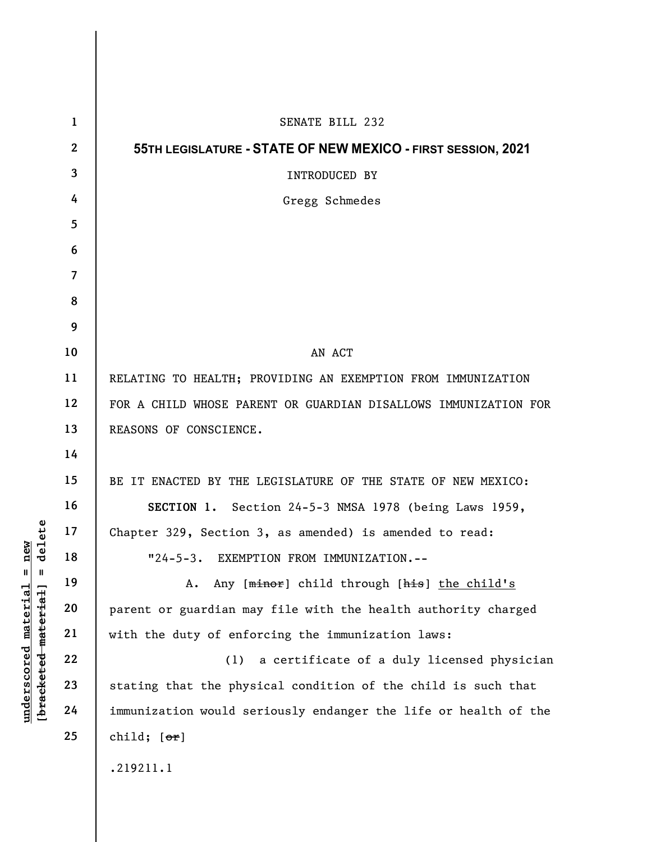|                                                                                                                 | $\mathbf{1}$            | SENATE BILL 232                                                 |
|-----------------------------------------------------------------------------------------------------------------|-------------------------|-----------------------------------------------------------------|
|                                                                                                                 | $\mathbf{2}$            | 55TH LEGISLATURE - STATE OF NEW MEXICO - FIRST SESSION, 2021    |
|                                                                                                                 | 3                       | INTRODUCED BY                                                   |
|                                                                                                                 | 4                       | Gregg Schmedes                                                  |
|                                                                                                                 | 5                       |                                                                 |
|                                                                                                                 | 6                       |                                                                 |
|                                                                                                                 | $\overline{\mathbf{7}}$ |                                                                 |
|                                                                                                                 | 8                       |                                                                 |
|                                                                                                                 | 9                       |                                                                 |
|                                                                                                                 | 10                      | AN ACT                                                          |
| ete<br>new<br>del<br>$\frac{e}{d}$<br>$\mathsf{I}$<br>Ш<br><u>material</u><br>[ <del>bracketed material</del> ] | 11                      | RELATING TO HEALTH; PROVIDING AN EXEMPTION FROM IMMUNIZATION    |
|                                                                                                                 | 12                      | FOR A CHILD WHOSE PARENT OR GUARDIAN DISALLOWS IMMUNIZATION FOR |
|                                                                                                                 | 13                      | REASONS OF CONSCIENCE.                                          |
|                                                                                                                 | 14                      |                                                                 |
|                                                                                                                 | 15                      | BE IT ENACTED BY THE LEGISLATURE OF THE STATE OF NEW MEXICO:    |
|                                                                                                                 | 16                      | SECTION 1. Section 24-5-3 NMSA 1978 (being Laws 1959,           |
|                                                                                                                 | 17                      | Chapter 329, Section 3, as amended) is amended to read:         |
|                                                                                                                 | 18                      | EXEMPTION FROM IMMUNIZATION.--<br>$"24-5-3.$                    |
|                                                                                                                 | 19                      | Any [minor] child through [his] the child's<br>Α.               |
|                                                                                                                 | 20                      | parent or guardian may file with the health authority charged   |
|                                                                                                                 | 21                      | with the duty of enforcing the immunization laws:               |
|                                                                                                                 | 22                      | a certificate of a duly licensed physician<br>(1)               |
| underscored                                                                                                     | 23                      | stating that the physical condition of the child is such that   |
|                                                                                                                 | 24                      | immunization would seriously endanger the life or health of the |
|                                                                                                                 | 25                      | child; $[\text{or}]$                                            |
|                                                                                                                 |                         | .219211.1                                                       |
|                                                                                                                 |                         |                                                                 |